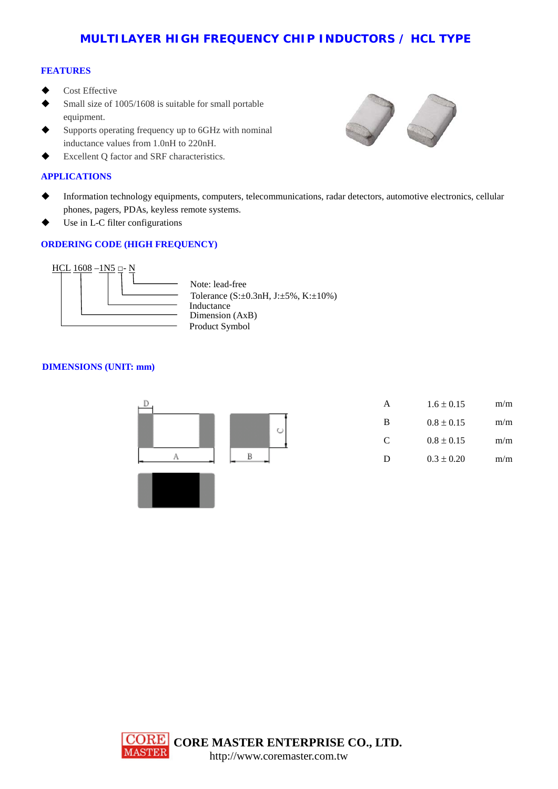# **MULTILAYER HIGH FREQUENCY CHIP INDUCTORS / HCL TYPE**

### **FEATURES**

- Cost Effective
- Small size of 1005/1608 is suitable for small portable equipment.
- Supports operating frequency up to 6GHz with nominal inductance values from 1.0nH to 220nH.
- Excellent Q factor and SRF characteristics.

### **APPLICATIONS**

- Information technology equipments, computers, telecommunications, radar detectors, automotive electronics, cellular phones, pagers, PDAs, keyless remote systems.
- Use in L-C filter configurations

## **ORDERING CODE (HIGH FREQUENCY)**



Tolerance (S:±0.3nH, J:±5%, K:±10%) Product Symbol **Inductance** Dimension (AxB) Note: lead-free

### **DIMENSIONS (UNIT: mm)**